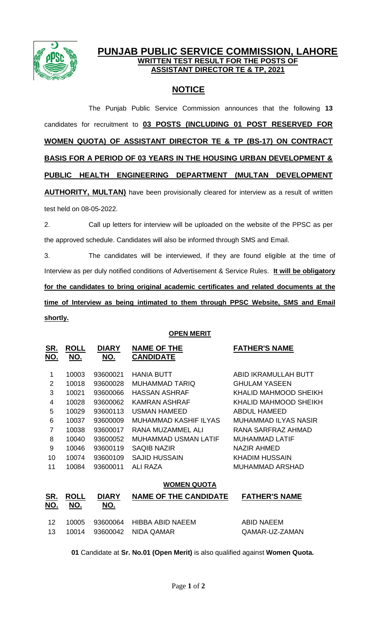

## **PUNJAB PUBLIC SERVICE COMMISSION, LAHORE WRITTEN TEST RESULT FOR THE POSTS OF ASSISTANT DIRECTOR TE & TP, 2021**

## **NOTICE**

The Punjab Public Service Commission announces that the following **13** candidates for recruitment to **03 POSTS (INCLUDING 01 POST RESERVED FOR WOMEN QUOTA) OF ASSISTANT DIRECTOR TE & TP (BS-17) ON CONTRACT BASIS FOR A PERIOD OF 03 YEARS IN THE HOUSING URBAN DEVELOPMENT & PUBLIC HEALTH ENGINEERING DEPARTMENT (MULTAN DEVELOPMENT AUTHORITY, MULTAN)** have been provisionally cleared for interview as a result of written test held on 08-05-2022.

2. Call up letters for interview will be uploaded on the website of the PPSC as per the approved schedule. Candidates will also be informed through SMS and Email.

3. The candidates will be interviewed, if they are found eligible at the time of Interview as per duly notified conditions of Advertisement & Service Rules. **It will be obligatory for the candidates to bring original academic certificates and related documents at the time of Interview as being intimated to them through PPSC Website, SMS and Email shortly.**

## **OPEN MERIT**

| <b>ROLL</b><br>NO. | <b>DIARY</b><br>NO. | <b>NAME OF THE</b><br><b>CANDIDATE</b> | <b>FATHER'S NAME</b>   |
|--------------------|---------------------|----------------------------------------|------------------------|
|                    |                     |                                        |                        |
| 10003              | 93600021            | <b>HANIA BUTT</b>                      | ABID IKRAMULLAH BUTT   |
| 10018              | 93600028            | MUHAMMAD TARIQ                         | <b>GHULAM YASEEN</b>   |
| 10021              | 93600066            | <b>HASSAN ASHRAF</b>                   | KHALID MAHMOOD SHEIKH  |
| 10028              | 93600062            | KAMRAN ASHRAF                          | KHALID MAHMOOD SHEIKH  |
| 10029              | 93600113            | <b>USMAN HAMEED</b>                    | <b>ABDUL HAMEED</b>    |
| 10037              | 93600009            | MUHAMMAD KASHIF ILYAS                  | MUHAMMAD ILYAS NASIR   |
| 10038              | 93600017            | RANA MUZAMMEL ALI                      | RANA SARFRAZ AHMAD     |
| 10040              | 93600052            | MUHAMMAD USMAN LATIF                   | MUHAMMAD LATIF         |
| 10046              | 93600119            | SAQIB NAZIR                            | NAZIR AHMED            |
| 10074              | 93600109            | <b>SAJID HUSSAIN</b>                   | KHADIM HUSSAIN         |
| 10084              | 93600011            | ALI RAZA                               | <b>MUHAMMAD ARSHAD</b> |
|                    |                     |                                        |                        |

## **WOMEN QUOTA**

| <u>SR.</u><br><u>NO.</u> | <b>ROLL</b><br>NO. | <b>DIARY</b><br>NO. | <b>NAME OF THE CANDIDATE</b>                                 | <b>FATHER'S NAME</b>         |
|--------------------------|--------------------|---------------------|--------------------------------------------------------------|------------------------------|
| -12<br>-13               |                    |                     | 10005 93600064 HIBBA ABID NAEEM<br>10014 93600042 NIDA QAMAR | ABID NAEEM<br>QAMAR-UZ-ZAMAN |

**01** Candidate at **Sr. No.01 (Open Merit)** is also qualified against **Women Quota.**